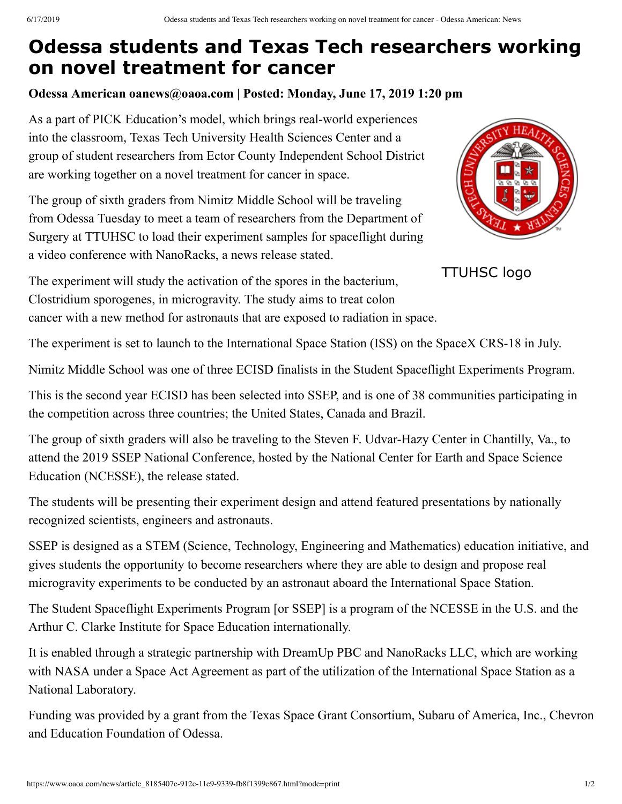## **Odessa students and Texas Tech researchers working on novel treatment for cancer**

## **Odessa American oanews@oaoa.com | Posted: Monday, June 17, 2019 1:20 pm**

As a part of PICK Education's model, which brings real-world experiences into the classroom, Texas Tech University Health Sciences Center and a group of student researchers from Ector County Independent School District are working together on a novel treatment for cancer in space.

The group of sixth graders from Nimitz Middle School will be traveling from Odessa Tuesday to meet a team of researchers from the Department of Surgery at TTUHSC to load their experiment samples for spaceflight during a video conference with NanoRacks, a news release stated.



TTUHSC logo

The experiment will study the activation of the spores in the bacterium, Clostridium sporogenes, in microgravity. The study aims to treat colon cancer with a new method for astronauts that are exposed to radiation in space.

The experiment is set to launch to the International Space Station (ISS) on the SpaceX CRS-18 in July.

Nimitz Middle School was one of three ECISD finalists in the Student Spaceflight Experiments Program.

This is the second year ECISD has been selected into SSEP, and is one of 38 communities participating in the competition across three countries; the United States, Canada and Brazil.

The group of sixth graders will also be traveling to the Steven F. Udvar-Hazy Center in Chantilly, Va., to attend the 2019 SSEP National Conference, hosted by the National Center for Earth and Space Science Education (NCESSE), the release stated.

The students will be presenting their experiment design and attend featured presentations by nationally recognized scientists, engineers and astronauts.

SSEP is designed as a STEM (Science, Technology, Engineering and Mathematics) education initiative, and gives students the opportunity to become researchers where they are able to design and propose real microgravity experiments to be conducted by an astronaut aboard the International Space Station.

The Student Spaceflight Experiments Program [or SSEP] is a program of the NCESSE in the U.S. and the Arthur C. Clarke Institute for Space Education internationally.

It is enabled through a strategic partnership with DreamUp PBC and NanoRacks LLC, which are working with NASA under a Space Act Agreement as part of the utilization of the International Space Station as a National Laboratory.

Funding was provided by a grant from the Texas Space Grant Consortium, Subaru of America, Inc., Chevron and Education Foundation of Odessa.